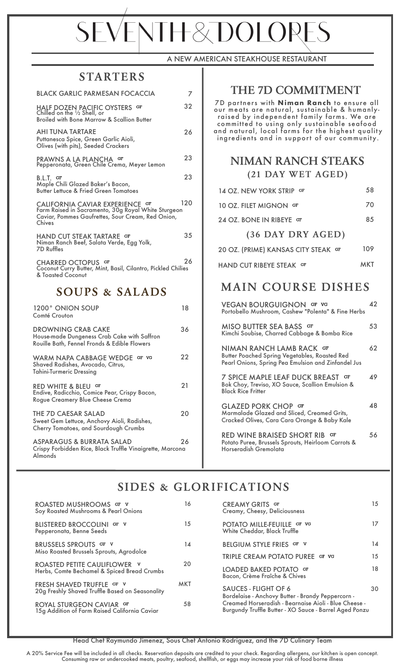# **SEVENTH&DOLORES**

#### A NEW AMERICAN STEAKHOUSE RESTAURANT

#### **STARTERS**

| <b>BLACK GARLIC PARMESAN FOCACCIA</b>                                                                                                                 | 7   |
|-------------------------------------------------------------------------------------------------------------------------------------------------------|-----|
| HALF DOZEN PACIFIC OYSTERS GF<br>Chilled on the 1/2 Shell, or<br><b>Broiled with Bone Marrow &amp; Scallion Butter</b>                                | 32  |
| <b>AHI TUNA TARTARE</b><br>Puttanesca Spice, Green Garlic Aioli,<br>Olives (with pits), Seeded Crackers                                               | 26  |
| PRAWNS A LA PLANCHA GF<br>Pepperonata, Green Chile Crema, Meyer Lemon                                                                                 | 23  |
| B.L.T. GF<br>Maple Chili Glazed Baker's Bacon,<br><b>Butter Lettuce &amp; Fried Green Tomatoes</b>                                                    | 23  |
| CALIFORNIA CAVIAR EXPERIENCE GF<br>Farm Raised in Sacramento, 30g Royal White Sturgeon<br>Caviar, Pommes Gaufrettes, Sour Cream, Red Onion,<br>Chives | 120 |
| HAND CUT STEAK TARTARE GF<br>Niman Ranch Beef, Salata Verde, Egg Yolk,<br><b>7D Ruffles</b>                                                           | 35  |
| CHARRED OCTOPUS GF<br>Coconut Curry Butter, Mint, Basil, Cilantro, Pickled Chilies<br>& Toasted Coconut                                               | 26  |
| <b>SOUPS &amp; SALADS</b>                                                                                                                             |     |
| 1200° ONION SOUP<br>Comté Crouton                                                                                                                     | 18  |
| <b>DROWNING CRAB CAKE</b><br>House-made Dungeness Crab Cake with Saffron<br>Rouille Bath, Fennel Fronds & Edible Flowers                              | 36  |
| GF VG<br><b>WARM NAPA CABBAGE WEDGE</b><br>Shaved Radishes, Avocado, Citrus,                                                                          | 22  |

#### Tahini-Turmeric Dressing RED WHITE & BLEU GF 21 Endive, Radicchio, Comice Pear, Crispy Bacon, Rogue Creamery Blue Cheese Crema THE 7D CAESAR SALAD 20 Sweet Gem Lettuce, Anchovy Aioli, Radishes, Cherry Tomatoes, and Sourdough Crumbs ASPARAGUS & BURRATA SALAD 26

Crispy Forbidden Rice, Black Truffle Vinaigrette, Marcona Almonds

### **THE 7D COMMITMENT**

7D partners with **Niman Ranch** to ensure all our meats are natural, sustainable & humanlyraised by independent family farms. We are committed to using only sustainable seafood and natural, local farms for the highest quality ingredients and in support of our community.

#### **NIMAN RANCH STEAKS (21 DAY WET AGED)**

| 14 OZ. NEW YORK STRIP GF | 58 |
|--------------------------|----|
| 10 OZ. FILET MIGNON GF   | 70 |
| 24 OZ. BONE IN RIBEYE GF | 85 |
| (36 DAY DRY AGED)        |    |

| 20 OZ. (PRIME) KANSAS CITY STEAK GF | 109 |
|-------------------------------------|-----|
| HAND CUT RIBEYE STEAK OF            | MKT |

# **MAIN COURSE DISHES**

| VEGAN BOURGUIGNON GF VG<br>Portobello Mushroom, Cashew "Polenta" & Fine Herbs                                                           | Δ2 |
|-----------------------------------------------------------------------------------------------------------------------------------------|----|
| MISO BUTTER SEA BASS GF<br>Kimchi Soubise, Charred Cabbage & Bomba Rice                                                                 | 53 |
| NIMAN RANCH LAMB RACK GF<br><b>Butter Poached Spring Vegetables, Roasted Red</b><br>Pearl Onions, Spring Pea Emulsion and Zinfandel Jus | 62 |
| 7 SPICE MAPLE LEAF DUCK BREAST GF<br>Bok Choy, Treviso, XO Sauce, Scallion Emulsion &<br><b>Black Rice Fritter</b>                      | 49 |
| <b>GLAZED PORK CHOP GF</b><br>Marmalade Glazed and Sliced, Creamed Grits,<br>Cracked Olives, Cara Cara Orange & Baby Kale               | 48 |
| <b>RED WINE BRAISED SHORT RIB</b><br>GF<br>Potato Puree, Brussels Sprouts, Heirloom Carrots &<br>Horseradish Gremolata                  | 56 |

# **SIDES & GLORIFICATIONS**

| ROASTED MUSHROOMS GF V<br>Soy Roasted Mushrooms & Pearl Onions               | 16         | <b>CREAMY GRITS GF</b><br>Creamy, Cheesy, Deliciousness                                                         | 15 |
|------------------------------------------------------------------------------|------------|-----------------------------------------------------------------------------------------------------------------|----|
| <b>BLISTERED BROCCOLINI GF V</b><br>Pepperonata, Benne Seeds                 | 15         | POTATO MILLE-FEUILLE GF VG<br>White Cheddar, Black Truffle                                                      | 17 |
| BRUSSELS SPROUTS GF V                                                        | 14         | BELGIUM STYLE FRIES GF V                                                                                        | 14 |
| Miso Roasted Brussels Sprouts, Agrodolce                                     |            | TRIPLE CREAM POTATO PUREE GF VG                                                                                 | 15 |
| ROASTED PETITE CAULIFLOWER V<br>Herbs, Comte Bechamel & Spiced Bread Crumbs  | 20         | LOADED BAKED POTATO GF<br>Bacon, Crème Fraîche & Chives                                                         | 18 |
| FRESH SHAVED TRUFFLE GF V<br>20g Freshly Shaved Truffle Based on Seasonality | <b>MKT</b> | <b>SAUCES - FLIGHT OF 6</b><br>Bordelaise - Anchovy Butter - Brandy Peppercorn -                                | 30 |
| ROYAL STURGEON CAVIAR GF<br>15g Addition of Farm Raised California Caviar    | 58         | Creamed Horseradish - Bearnaise Aioli - Blue Cheese -<br>Burgundy Truffle Butter - XO Sauce - Barrel Aged Ponzu |    |

#### Head Chef Raymundo Jimenez, Sous Chef Antonio Rodriguez, and the 7D Culinary Team

A 20% Service Fee will be included in all checks. Reservation deposits are credited to your check. Regarding allergens, our kitchen is open concept. Consuming raw or undercooked meats, poultry, seafood, shellfish, or eggs may increase your risk of food borne illness